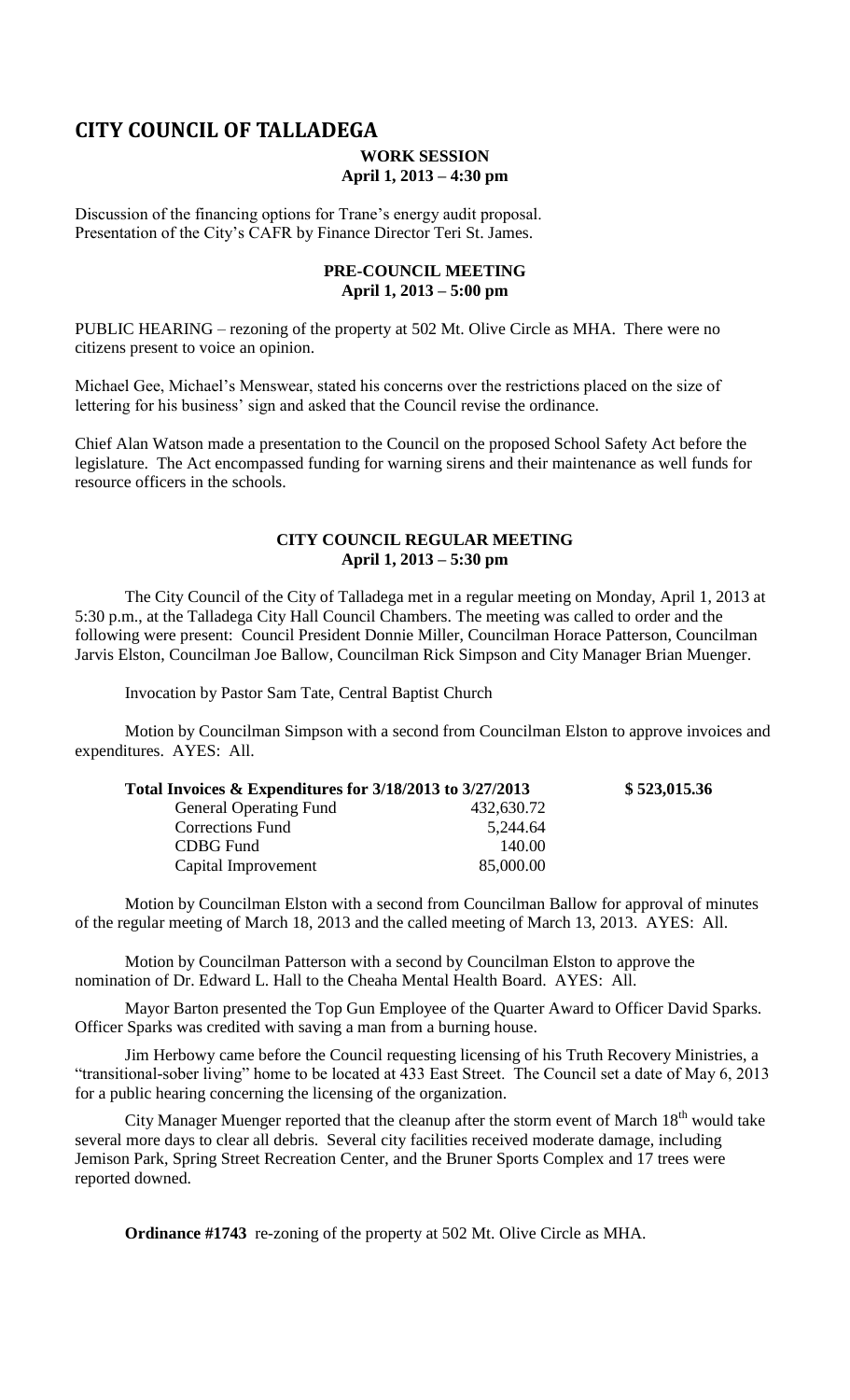# **CITY COUNCIL OF TALLADEGA**

### **WORK SESSION April 1, 2013 – 4:30 pm**

Discussion of the financing options for Trane's energy audit proposal. Presentation of the City's CAFR by Finance Director Teri St. James.

### **PRE-COUNCIL MEETING April 1, 2013 – 5:00 pm**

PUBLIC HEARING – rezoning of the property at 502 Mt. Olive Circle as MHA. There were no citizens present to voice an opinion.

Michael Gee, Michael's Menswear, stated his concerns over the restrictions placed on the size of lettering for his business' sign and asked that the Council revise the ordinance.

Chief Alan Watson made a presentation to the Council on the proposed School Safety Act before the legislature. The Act encompassed funding for warning sirens and their maintenance as well funds for resource officers in the schools.

## **CITY COUNCIL REGULAR MEETING April 1, 2013 – 5:30 pm**

The City Council of the City of Talladega met in a regular meeting on Monday, April 1, 2013 at 5:30 p.m., at the Talladega City Hall Council Chambers. The meeting was called to order and the following were present: Council President Donnie Miller, Councilman Horace Patterson, Councilman Jarvis Elston, Councilman Joe Ballow, Councilman Rick Simpson and City Manager Brian Muenger.

Invocation by Pastor Sam Tate, Central Baptist Church

Motion by Councilman Simpson with a second from Councilman Elston to approve invoices and expenditures. AYES: All.

| Total Invoices & Expenditures for 3/18/2013 to 3/27/2013 |            | \$523,015.36 |
|----------------------------------------------------------|------------|--------------|
| <b>General Operating Fund</b>                            | 432,630.72 |              |
| <b>Corrections Fund</b>                                  | 5,244.64   |              |
| CDBG Fund                                                | 140.00     |              |
| Capital Improvement                                      | 85,000.00  |              |

Motion by Councilman Elston with a second from Councilman Ballow for approval of minutes of the regular meeting of March 18, 2013 and the called meeting of March 13, 2013. AYES: All.

Motion by Councilman Patterson with a second by Councilman Elston to approve the nomination of Dr. Edward L. Hall to the Cheaha Mental Health Board. AYES: All.

Mayor Barton presented the Top Gun Employee of the Quarter Award to Officer David Sparks. Officer Sparks was credited with saving a man from a burning house.

Jim Herbowy came before the Council requesting licensing of his Truth Recovery Ministries, a "transitional-sober living" home to be located at 433 East Street. The Council set a date of May 6, 2013 for a public hearing concerning the licensing of the organization.

City Manager Muenger reported that the cleanup after the storm event of March  $18<sup>th</sup>$  would take several more days to clear all debris. Several city facilities received moderate damage, including Jemison Park, Spring Street Recreation Center, and the Bruner Sports Complex and 17 trees were reported downed.

**Ordinance #1743** re-zoning of the property at 502 Mt. Olive Circle as MHA.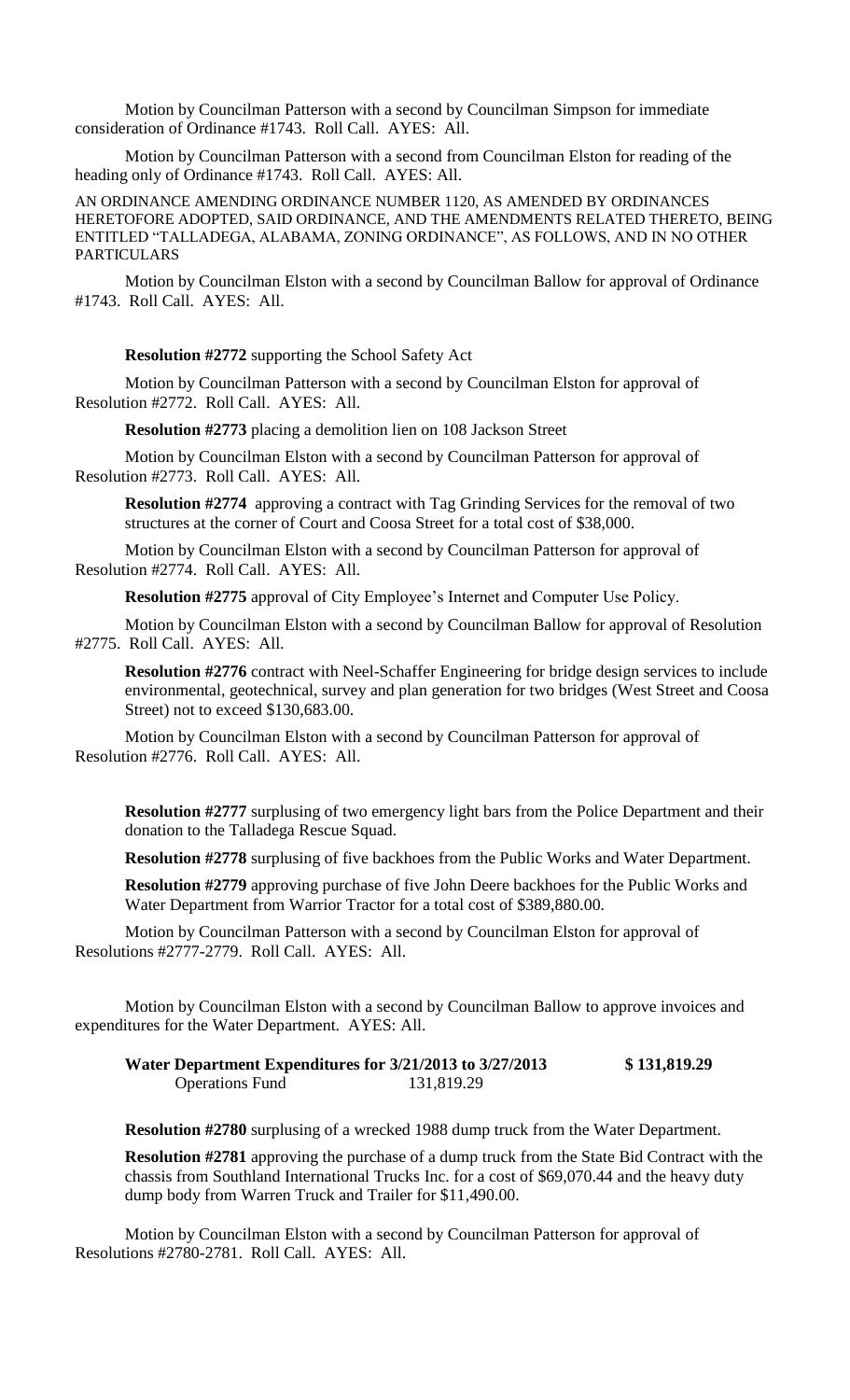Motion by Councilman Patterson with a second by Councilman Simpson for immediate consideration of Ordinance #1743. Roll Call. AYES: All.

Motion by Councilman Patterson with a second from Councilman Elston for reading of the heading only of Ordinance #1743. Roll Call. AYES: All.

AN ORDINANCE AMENDING ORDINANCE NUMBER 1120, AS AMENDED BY ORDINANCES HERETOFORE ADOPTED, SAID ORDINANCE, AND THE AMENDMENTS RELATED THERETO, BEING ENTITLED "TALLADEGA, ALABAMA, ZONING ORDINANCE", AS FOLLOWS, AND IN NO OTHER PARTICULARS

Motion by Councilman Elston with a second by Councilman Ballow for approval of Ordinance #1743. Roll Call. AYES: All.

**Resolution #2772** supporting the School Safety Act

Motion by Councilman Patterson with a second by Councilman Elston for approval of Resolution #2772. Roll Call. AYES: All.

**Resolution #2773** placing a demolition lien on 108 Jackson Street

Motion by Councilman Elston with a second by Councilman Patterson for approval of Resolution #2773. Roll Call. AYES: All.

**Resolution #2774** approving a contract with Tag Grinding Services for the removal of two structures at the corner of Court and Coosa Street for a total cost of \$38,000.

Motion by Councilman Elston with a second by Councilman Patterson for approval of Resolution #2774. Roll Call. AYES: All.

**Resolution #2775** approval of City Employee's Internet and Computer Use Policy.

Motion by Councilman Elston with a second by Councilman Ballow for approval of Resolution #2775. Roll Call. AYES: All.

**Resolution #2776** contract with Neel-Schaffer Engineering for bridge design services to include environmental, geotechnical, survey and plan generation for two bridges (West Street and Coosa Street) not to exceed \$130,683.00.

Motion by Councilman Elston with a second by Councilman Patterson for approval of Resolution #2776. Roll Call. AYES: All.

**Resolution #2777** surplusing of two emergency light bars from the Police Department and their donation to the Talladega Rescue Squad.

**Resolution #2778** surplusing of five backhoes from the Public Works and Water Department.

**Resolution #2779** approving purchase of five John Deere backhoes for the Public Works and Water Department from Warrior Tractor for a total cost of \$389,880.00.

Motion by Councilman Patterson with a second by Councilman Elston for approval of Resolutions #2777-2779. Roll Call. AYES: All.

Motion by Councilman Elston with a second by Councilman Ballow to approve invoices and expenditures for the Water Department. AYES: All.

**Water Department Expenditures for 3/21/2013 to 3/27/2013 \$ 131,819.29** Operations Fund 131,819.29

**Resolution #2780** surplusing of a wrecked 1988 dump truck from the Water Department.

**Resolution #2781** approving the purchase of a dump truck from the State Bid Contract with the chassis from Southland International Trucks Inc. for a cost of \$69,070.44 and the heavy duty dump body from Warren Truck and Trailer for \$11,490.00.

Motion by Councilman Elston with a second by Councilman Patterson for approval of Resolutions #2780-2781. Roll Call. AYES: All.